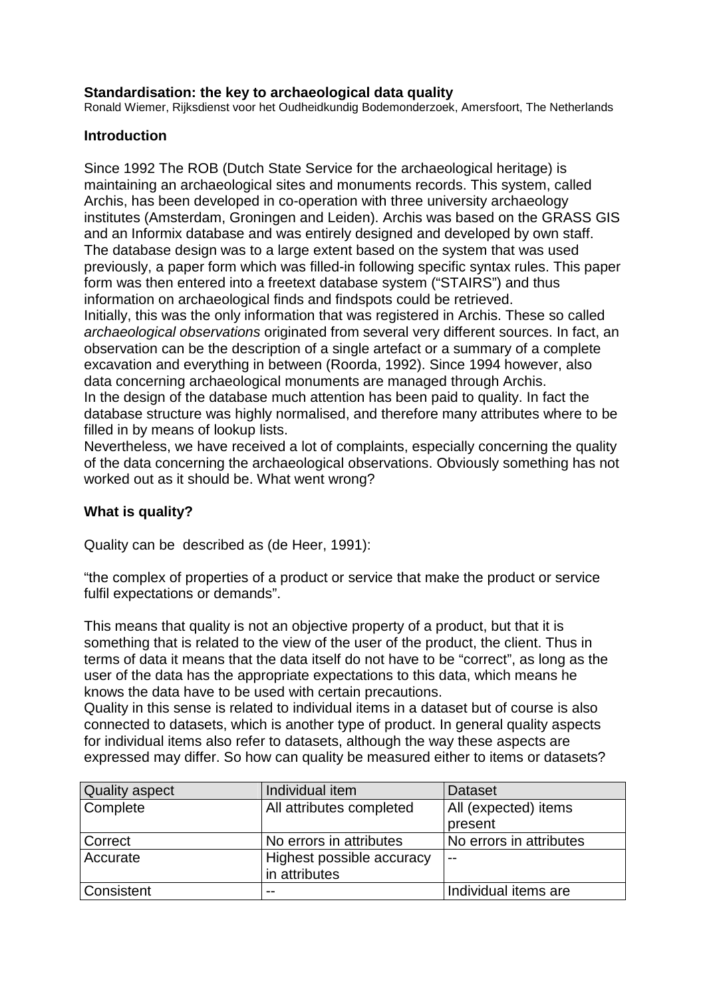## **Standardisation: the key to archaeological data quality**

Ronald Wiemer, Rijksdienst voor het Oudheidkundig Bodemonderzoek, Amersfoort, The Netherlands

## **Introduction**

Since 1992 The ROB (Dutch State Service for the archaeological heritage) is maintaining an archaeological sites and monuments records. This system, called Archis, has been developed in co-operation with three university archaeology institutes (Amsterdam, Groningen and Leiden). Archis was based on the GRASS GIS and an Informix database and was entirely designed and developed by own staff. The database design was to a large extent based on the system that was used previously, a paper form which was filled-in following specific syntax rules. This paper form was then entered into a freetext database system ("STAIRS") and thus information on archaeological finds and findspots could be retrieved. Initially, this was the only information that was registered in Archis. These so called archaeological observations originated from several very different sources. In fact, an observation can be the description of a single artefact or a summary of a complete excavation and everything in between (Roorda, 1992). Since 1994 however, also data concerning archaeological monuments are managed through Archis. In the design of the database much attention has been paid to quality. In fact the database structure was highly normalised, and therefore many attributes where to be filled in by means of lookup lists.

Nevertheless, we have received a lot of complaints, especially concerning the quality of the data concerning the archaeological observations. Obviously something has not worked out as it should be. What went wrong?

# **What is quality?**

Quality can be described as (de Heer, 1991):

"the complex of properties of a product or service that make the product or service fulfil expectations or demands".

This means that quality is not an objective property of a product, but that it is something that is related to the view of the user of the product, the client. Thus in terms of data it means that the data itself do not have to be "correct", as long as the user of the data has the appropriate expectations to this data, which means he knows the data have to be used with certain precautions.

Quality in this sense is related to individual items in a dataset but of course is also connected to datasets, which is another type of product. In general quality aspects for individual items also refer to datasets, although the way these aspects are expressed may differ. So how can quality be measured either to items or datasets?

| <b>Quality aspect</b> | Individual item           | <b>Dataset</b>          |  |
|-----------------------|---------------------------|-------------------------|--|
| Complete              | All attributes completed  | All (expected) items    |  |
|                       |                           | present                 |  |
| Correct               | No errors in attributes   | No errors in attributes |  |
| Accurate              | Highest possible accuracy | $-$                     |  |
|                       | in attributes             |                         |  |
| Consistent            | --                        | Individual items are    |  |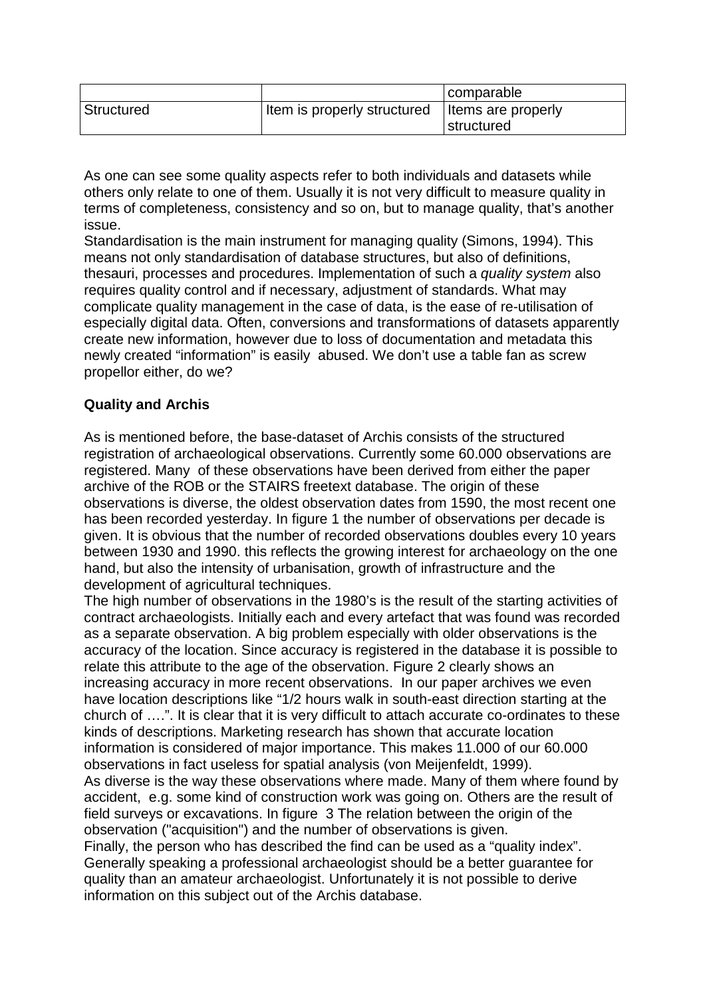|            |                                                  | comparable |  |
|------------|--------------------------------------------------|------------|--|
| Structured | Item is properly structured   Items are properly |            |  |
|            |                                                  | structured |  |

As one can see some quality aspects refer to both individuals and datasets while others only relate to one of them. Usually it is not very difficult to measure quality in terms of completeness, consistency and so on, but to manage quality, that's another issue.

Standardisation is the main instrument for managing quality (Simons, 1994). This means not only standardisation of database structures, but also of definitions, thesauri, processes and procedures. Implementation of such a quality system also requires quality control and if necessary, adjustment of standards. What may complicate quality management in the case of data, is the ease of re-utilisation of especially digital data. Often, conversions and transformations of datasets apparently create new information, however due to loss of documentation and metadata this newly created "information" is easily abused. We don't use a table fan as screw propellor either, do we?

# **Quality and Archis**

As is mentioned before, the base-dataset of Archis consists of the structured registration of archaeological observations. Currently some 60.000 observations are registered. Many of these observations have been derived from either the paper archive of the ROB or the STAIRS freetext database. The origin of these observations is diverse, the oldest observation dates from 1590, the most recent one has been recorded yesterday. In figure 1 the number of observations per decade is given. It is obvious that the number of recorded observations doubles every 10 years between 1930 and 1990. this reflects the growing interest for archaeology on the one hand, but also the intensity of urbanisation, growth of infrastructure and the development of agricultural techniques.

The high number of observations in the 1980's is the result of the starting activities of contract archaeologists. Initially each and every artefact that was found was recorded as a separate observation. A big problem especially with older observations is the accuracy of the location. Since accuracy is registered in the database it is possible to relate this attribute to the age of the observation. Figure 2 clearly shows an increasing accuracy in more recent observations. In our paper archives we even have location descriptions like "1/2 hours walk in south-east direction starting at the church of ….". It is clear that it is very difficult to attach accurate co-ordinates to these kinds of descriptions. Marketing research has shown that accurate location information is considered of major importance. This makes 11.000 of our 60.000 observations in fact useless for spatial analysis (von Meijenfeldt, 1999). As diverse is the way these observations where made. Many of them where found by accident, e.g. some kind of construction work was going on. Others are the result of field surveys or excavations. In figure 3 The relation between the origin of the observation ("acquisition") and the number of observations is given. Finally, the person who has described the find can be used as a "quality index". Generally speaking a professional archaeologist should be a better guarantee for quality than an amateur archaeologist. Unfortunately it is not possible to derive information on this subject out of the Archis database.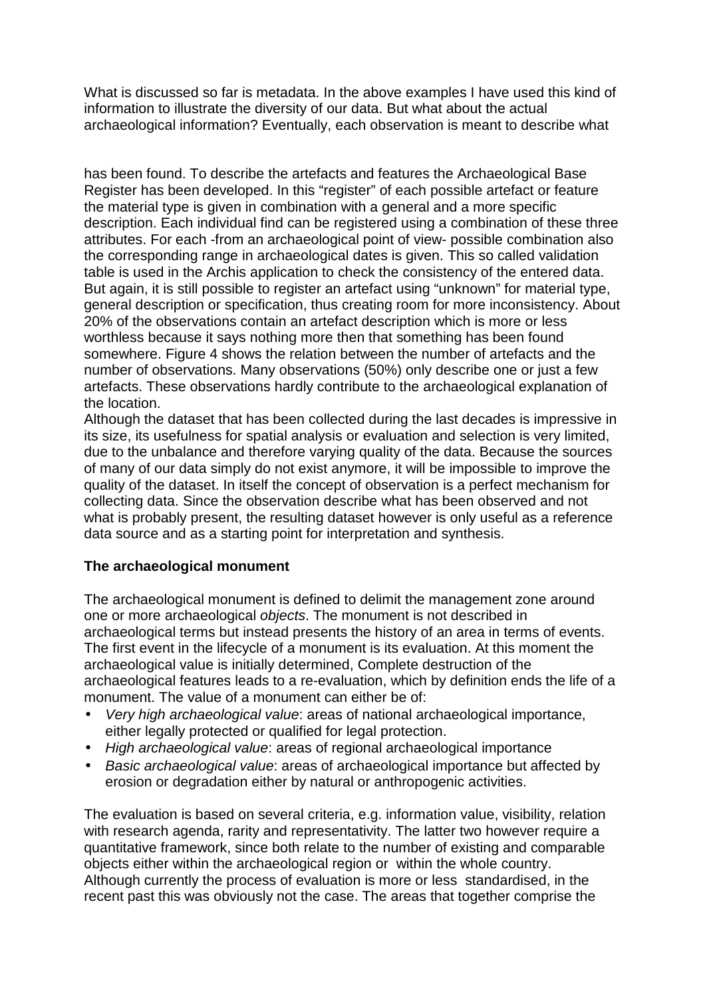What is discussed so far is metadata. In the above examples I have used this kind of information to illustrate the diversity of our data. But what about the actual archaeological information? Eventually, each observation is meant to describe what

has been found. To describe the artefacts and features the Archaeological Base Register has been developed. In this "register" of each possible artefact or feature the material type is given in combination with a general and a more specific description. Each individual find can be registered using a combination of these three attributes. For each -from an archaeological point of view- possible combination also the corresponding range in archaeological dates is given. This so called validation table is used in the Archis application to check the consistency of the entered data. But again, it is still possible to register an artefact using "unknown" for material type, general description or specification, thus creating room for more inconsistency. About 20% of the observations contain an artefact description which is more or less worthless because it says nothing more then that something has been found somewhere. Figure 4 shows the relation between the number of artefacts and the number of observations. Many observations (50%) only describe one or just a few artefacts. These observations hardly contribute to the archaeological explanation of the location.

Although the dataset that has been collected during the last decades is impressive in its size, its usefulness for spatial analysis or evaluation and selection is very limited, due to the unbalance and therefore varying quality of the data. Because the sources of many of our data simply do not exist anymore, it will be impossible to improve the quality of the dataset. In itself the concept of observation is a perfect mechanism for collecting data. Since the observation describe what has been observed and not what is probably present, the resulting dataset however is only useful as a reference data source and as a starting point for interpretation and synthesis.

# **The archaeological monument**

The archaeological monument is defined to delimit the management zone around one or more archaeological objects. The monument is not described in archaeological terms but instead presents the history of an area in terms of events. The first event in the lifecycle of a monument is its evaluation. At this moment the archaeological value is initially determined, Complete destruction of the archaeological features leads to a re-evaluation, which by definition ends the life of a monument. The value of a monument can either be of:

- Very high archaeological value: areas of national archaeological importance, either legally protected or qualified for legal protection.
- High archaeological value: areas of regional archaeological importance
- Basic archaeological value: areas of archaeological importance but affected by erosion or degradation either by natural or anthropogenic activities.

The evaluation is based on several criteria, e.g. information value, visibility, relation with research agenda, rarity and representativity. The latter two however require a quantitative framework, since both relate to the number of existing and comparable objects either within the archaeological region or within the whole country. Although currently the process of evaluation is more or less standardised, in the recent past this was obviously not the case. The areas that together comprise the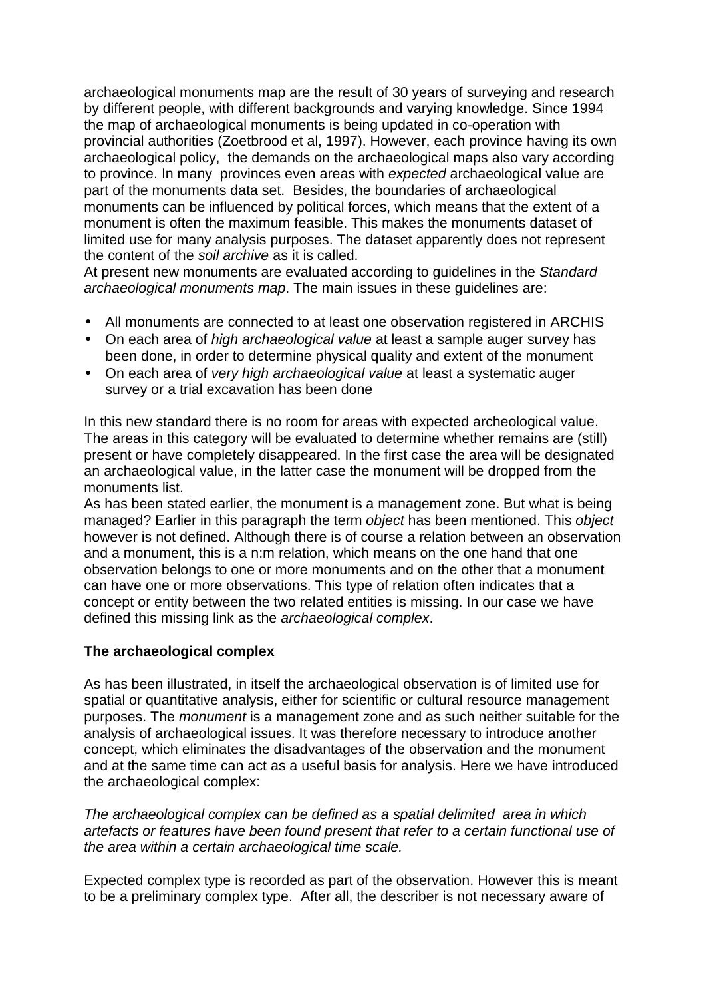archaeological monuments map are the result of 30 years of surveying and research by different people, with different backgrounds and varying knowledge. Since 1994 the map of archaeological monuments is being updated in co-operation with provincial authorities (Zoetbrood et al, 1997). However, each province having its own archaeological policy, the demands on the archaeological maps also vary according to province. In many provinces even areas with expected archaeological value are part of the monuments data set. Besides, the boundaries of archaeological monuments can be influenced by political forces, which means that the extent of a monument is often the maximum feasible. This makes the monuments dataset of limited use for many analysis purposes. The dataset apparently does not represent the content of the soil archive as it is called.

At present new monuments are evaluated according to guidelines in the Standard archaeological monuments map. The main issues in these guidelines are:

- All monuments are connected to at least one observation registered in ARCHIS
- On each area of *high archaeological value* at least a sample auger survey has been done, in order to determine physical quality and extent of the monument
- On each area of very high archaeological value at least a systematic auger survey or a trial excavation has been done

In this new standard there is no room for areas with expected archeological value. The areas in this category will be evaluated to determine whether remains are (still) present or have completely disappeared. In the first case the area will be designated an archaeological value, in the latter case the monument will be dropped from the monuments list.

As has been stated earlier, the monument is a management zone. But what is being managed? Earlier in this paragraph the term object has been mentioned. This object however is not defined. Although there is of course a relation between an observation and a monument, this is a n:m relation, which means on the one hand that one observation belongs to one or more monuments and on the other that a monument can have one or more observations. This type of relation often indicates that a concept or entity between the two related entities is missing. In our case we have defined this missing link as the *archaeological complex*.

### **The archaeological complex**

As has been illustrated, in itself the archaeological observation is of limited use for spatial or quantitative analysis, either for scientific or cultural resource management purposes. The monument is a management zone and as such neither suitable for the analysis of archaeological issues. It was therefore necessary to introduce another concept, which eliminates the disadvantages of the observation and the monument and at the same time can act as a useful basis for analysis. Here we have introduced the archaeological complex:

The archaeological complex can be defined as a spatial delimited area in which artefacts or features have been found present that refer to a certain functional use of the area within a certain archaeological time scale.

Expected complex type is recorded as part of the observation. However this is meant to be a preliminary complex type. After all, the describer is not necessary aware of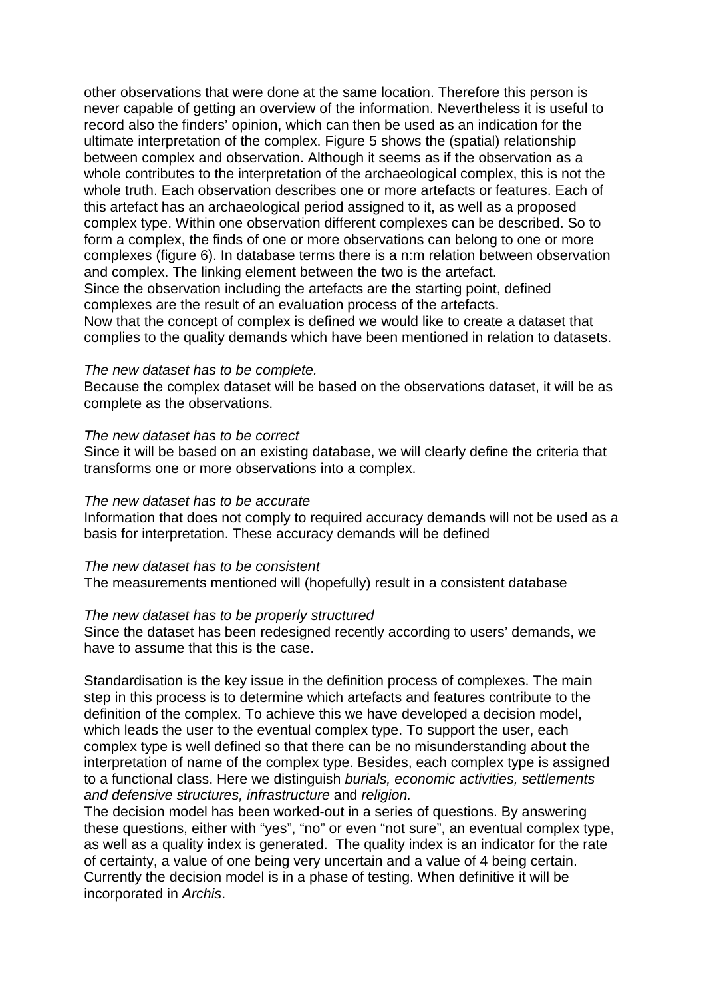other observations that were done at the same location. Therefore this person is never capable of getting an overview of the information. Nevertheless it is useful to record also the finders' opinion, which can then be used as an indication for the ultimate interpretation of the complex. Figure 5 shows the (spatial) relationship between complex and observation. Although it seems as if the observation as a whole contributes to the interpretation of the archaeological complex, this is not the whole truth. Each observation describes one or more artefacts or features. Each of this artefact has an archaeological period assigned to it, as well as a proposed complex type. Within one observation different complexes can be described. So to form a complex, the finds of one or more observations can belong to one or more complexes (figure 6). In database terms there is a n:m relation between observation and complex. The linking element between the two is the artefact. Since the observation including the artefacts are the starting point, defined complexes are the result of an evaluation process of the artefacts. Now that the concept of complex is defined we would like to create a dataset that

complies to the quality demands which have been mentioned in relation to datasets.

### The new dataset has to be complete.

Because the complex dataset will be based on the observations dataset, it will be as complete as the observations.

### The new dataset has to be correct

Since it will be based on an existing database, we will clearly define the criteria that transforms one or more observations into a complex.

### The new dataset has to be accurate

Information that does not comply to required accuracy demands will not be used as a basis for interpretation. These accuracy demands will be defined

#### The new dataset has to be consistent

The measurements mentioned will (hopefully) result in a consistent database

#### The new dataset has to be properly structured

Since the dataset has been redesigned recently according to users' demands, we have to assume that this is the case.

Standardisation is the key issue in the definition process of complexes. The main step in this process is to determine which artefacts and features contribute to the definition of the complex. To achieve this we have developed a decision model, which leads the user to the eventual complex type. To support the user, each complex type is well defined so that there can be no misunderstanding about the interpretation of name of the complex type. Besides, each complex type is assigned to a functional class. Here we distinguish burials, economic activities, settlements and defensive structures, infrastructure and religion.

The decision model has been worked-out in a series of questions. By answering these questions, either with "yes", "no" or even "not sure", an eventual complex type, as well as a quality index is generated. The quality index is an indicator for the rate of certainty, a value of one being very uncertain and a value of 4 being certain. Currently the decision model is in a phase of testing. When definitive it will be incorporated in Archis.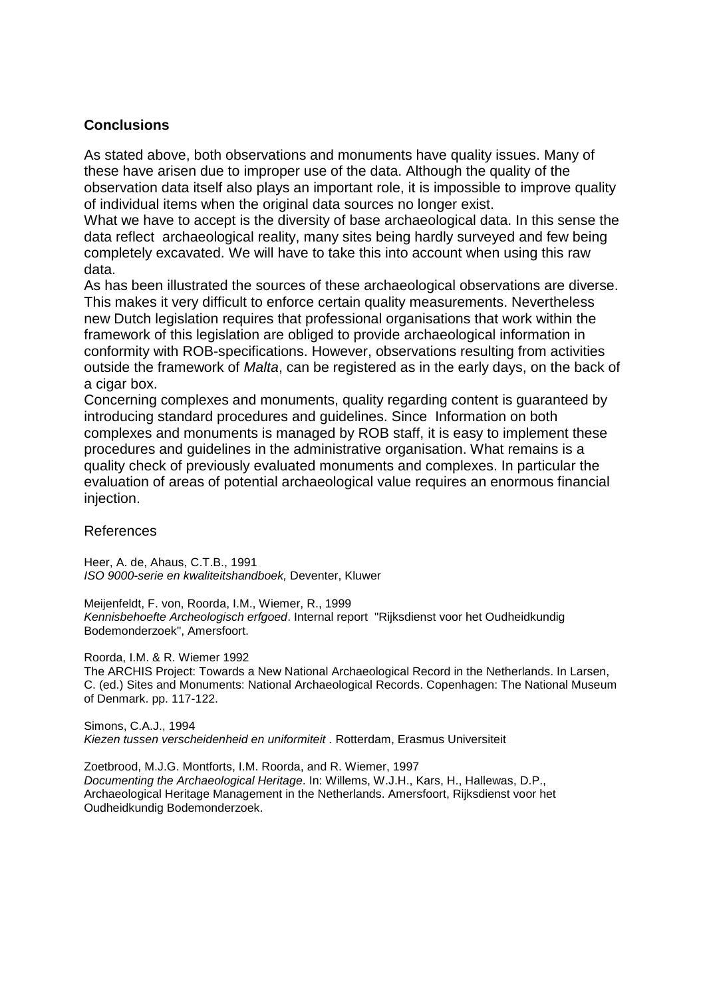## **Conclusions**

As stated above, both observations and monuments have quality issues. Many of these have arisen due to improper use of the data. Although the quality of the observation data itself also plays an important role, it is impossible to improve quality of individual items when the original data sources no longer exist.

What we have to accept is the diversity of base archaeological data. In this sense the data reflect archaeological reality, many sites being hardly surveyed and few being completely excavated. We will have to take this into account when using this raw data.

As has been illustrated the sources of these archaeological observations are diverse. This makes it very difficult to enforce certain quality measurements. Nevertheless new Dutch legislation requires that professional organisations that work within the framework of this legislation are obliged to provide archaeological information in conformity with ROB-specifications. However, observations resulting from activities outside the framework of Malta, can be registered as in the early days, on the back of a cigar box.

Concerning complexes and monuments, quality regarding content is guaranteed by introducing standard procedures and guidelines. Since Information on both complexes and monuments is managed by ROB staff, it is easy to implement these procedures and guidelines in the administrative organisation. What remains is a quality check of previously evaluated monuments and complexes. In particular the evaluation of areas of potential archaeological value requires an enormous financial injection.

### References

Heer, A. de, Ahaus, C.T.B., 1991 ISO 9000-serie en kwaliteitshandboek, Deventer, Kluwer

Meijenfeldt, F. von, Roorda, I.M., Wiemer, R., 1999 Kennisbehoefte Archeologisch erfgoed. Internal report "Rijksdienst voor het Oudheidkundig Bodemonderzoek", Amersfoort.

Roorda, I.M. & R. Wiemer 1992

The ARCHIS Project: Towards a New National Archaeological Record in the Netherlands. In Larsen, C. (ed.) Sites and Monuments: National Archaeological Records. Copenhagen: The National Museum of Denmark. pp. 117-122.

Simons, C.A.J., 1994 Kiezen tussen verscheidenheid en uniformiteit . Rotterdam, Erasmus Universiteit

Zoetbrood, M.J.G. Montforts, I.M. Roorda, and R. Wiemer, 1997 Documenting the Archaeological Heritage. In: Willems, W.J.H., Kars, H., Hallewas, D.P., Archaeological Heritage Management in the Netherlands. Amersfoort, Rijksdienst voor het Oudheidkundig Bodemonderzoek.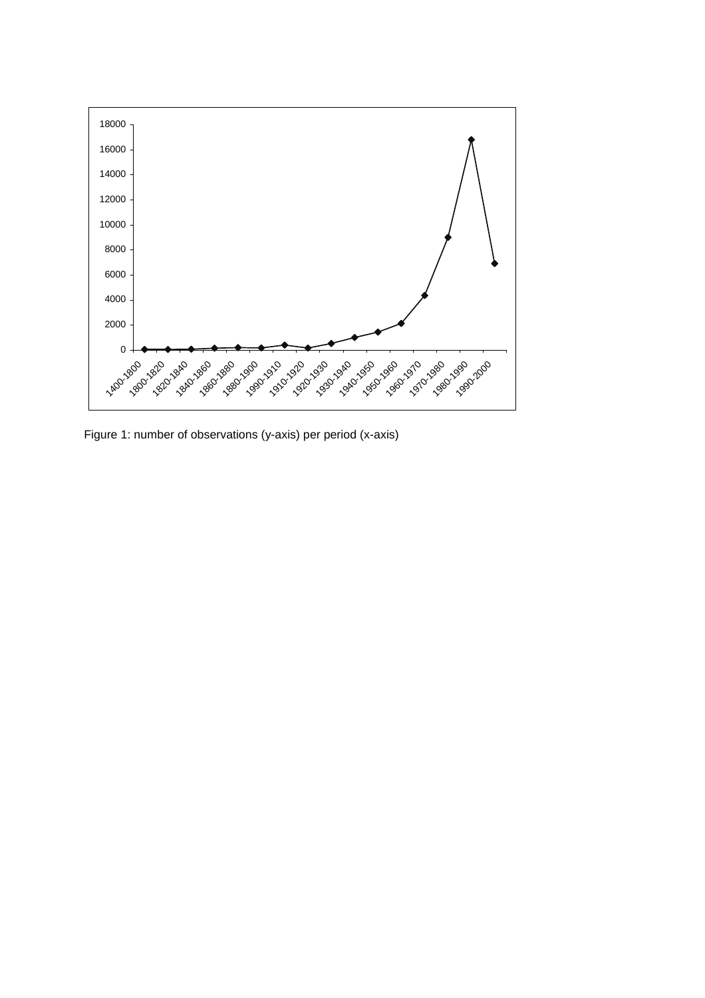

Figure 1: number of observations (y-axis) per period (x-axis)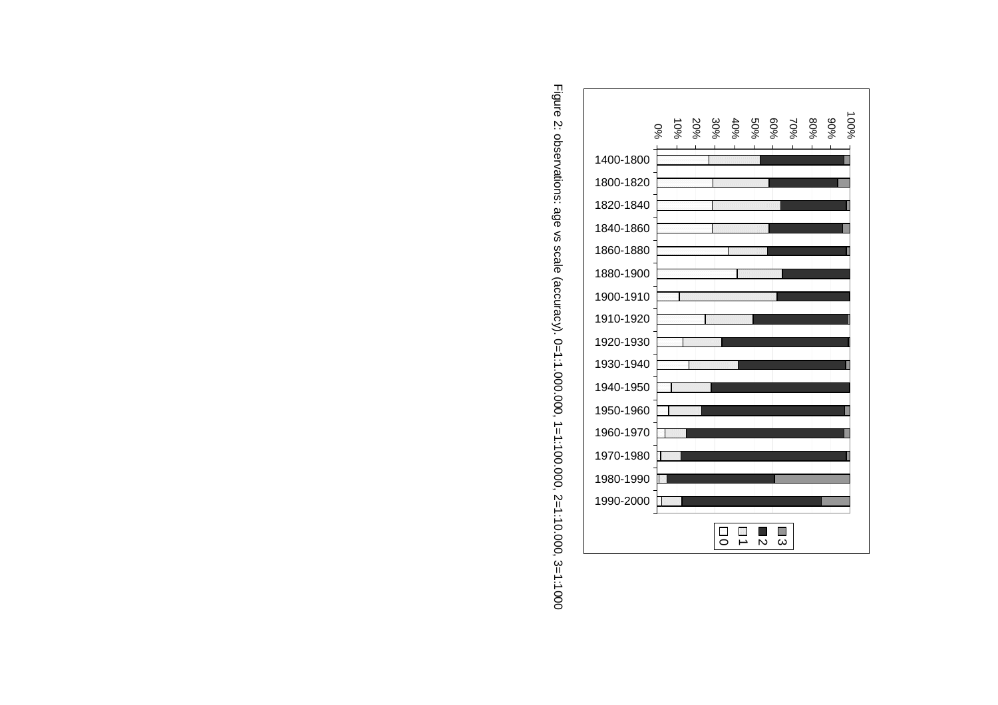

Figure 2: observations: age vs scale (accuracy). 0=1:1.000.000, 1=1:100.000, 2=1:10.000, 3=1:1000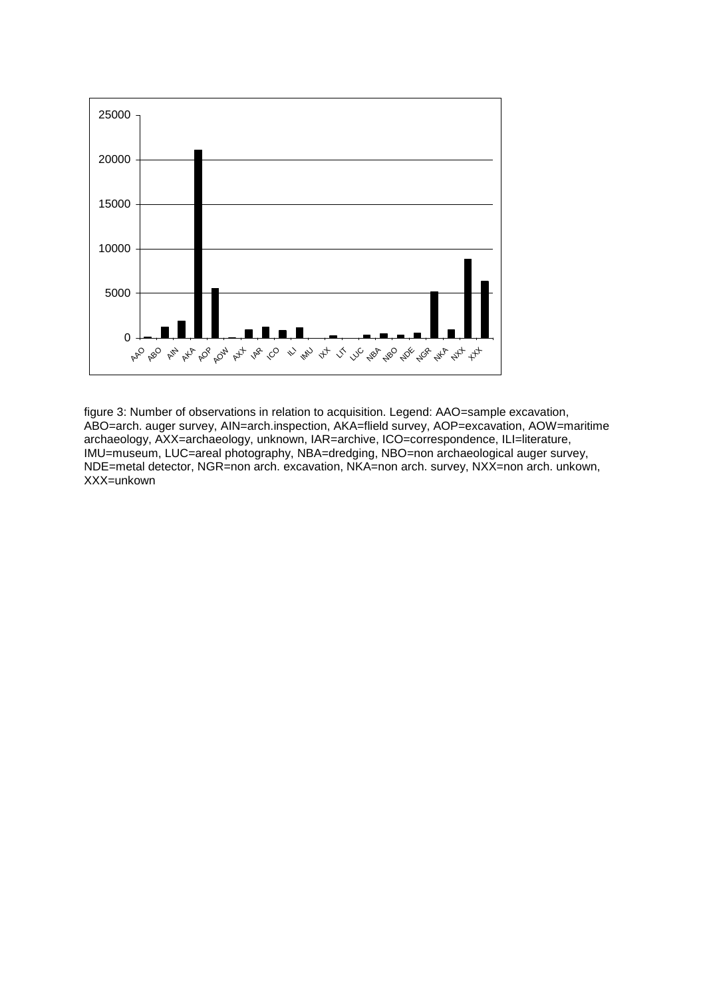

figure 3: Number of observations in relation to acquisition. Legend: AAO=sample excavation, ABO=arch. auger survey, AIN=arch.inspection, AKA=flield survey, AOP=excavation, AOW=maritime archaeology, AXX=archaeology, unknown, IAR=archive, ICO=correspondence, ILI=literature, IMU=museum, LUC=areal photography, NBA=dredging, NBO=non archaeological auger survey, NDE=metal detector, NGR=non arch. excavation, NKA=non arch. survey, NXX=non arch. unkown, XXX=unkown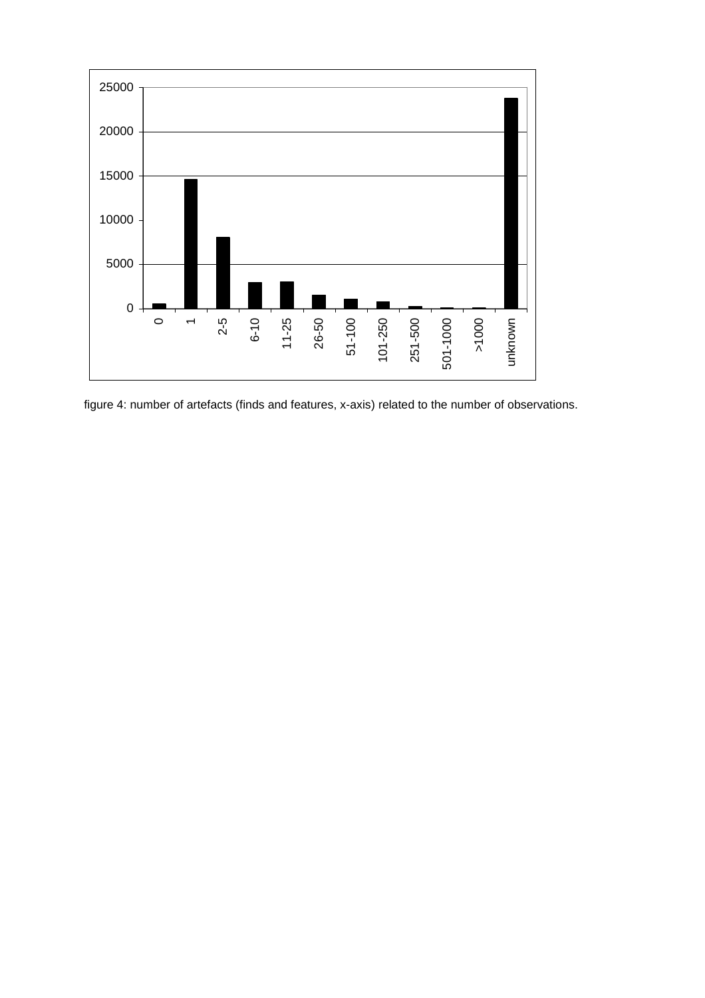

figure 4: number of artefacts (finds and features, x-axis) related to the number of observations.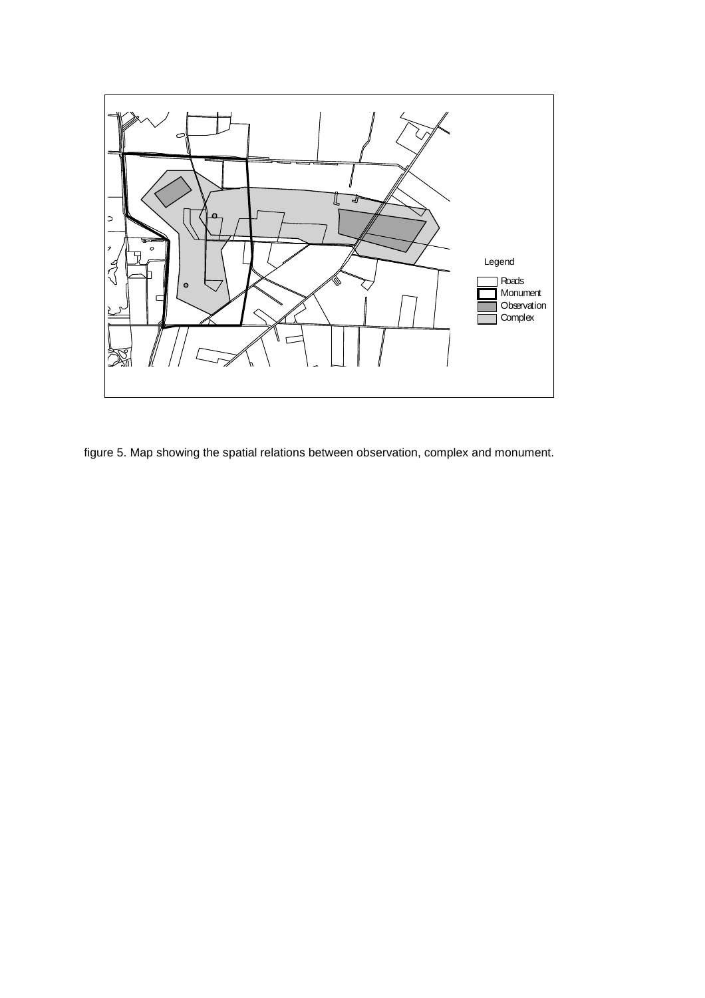

figure 5. Map showing the spatial relations between observation, complex and monument.